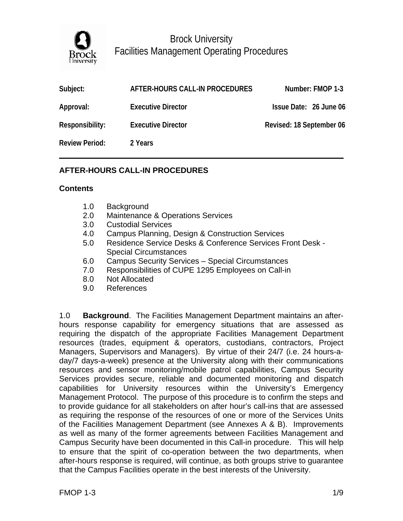

| Subject:              | AFTER-HOURS CALL-IN PROCEDURES | Number: FMOP 1-3         |
|-----------------------|--------------------------------|--------------------------|
| Approval:             | <b>Executive Director</b>      | Issue Date: 26 June 06   |
| Responsibility:       | <b>Executive Director</b>      | Revised: 18 September 06 |
| <b>Review Period:</b> | 2 Years                        |                          |

## **AFTER-HOURS CALL-IN PROCEDURES**

### **Contents**

- 1.0 Background
- 2.0 Maintenance & Operations Services
- 3.0 Custodial Services
- 4.0 Campus Planning, Design & Construction Services
- 5.0 Residence Service Desks & Conference Services Front Desk Special Circumstances
- 6.0 Campus Security Services Special Circumstances
- 7.0 Responsibilities of CUPE 1295 Employees on Call-in
- 8.0 Not Allocated
- 9.0 References

1.0 **Background**. The Facilities Management Department maintains an afterhours response capability for emergency situations that are assessed as requiring the dispatch of the appropriate Facilities Management Department resources (trades, equipment & operators, custodians, contractors, Project Managers, Supervisors and Managers). By virtue of their 24/7 (i.e. 24 hours-aday/7 days-a-week) presence at the University along with their communications resources and sensor monitoring/mobile patrol capabilities, Campus Security Services provides secure, reliable and documented monitoring and dispatch capabilities for University resources within the University's Emergency Management Protocol. The purpose of this procedure is to confirm the steps and to provide guidance for all stakeholders on after hour's call-ins that are assessed as requiring the response of the resources of one or more of the Services Units of the Facilities Management Department (see Annexes A & B). Improvements as well as many of the former agreements between Facilities Management and Campus Security have been documented in this Call-in procedure. This will help to ensure that the spirit of co-operation between the two departments, when after-hours response is required, will continue, as both groups strive to guarantee that the Campus Facilities operate in the best interests of the University.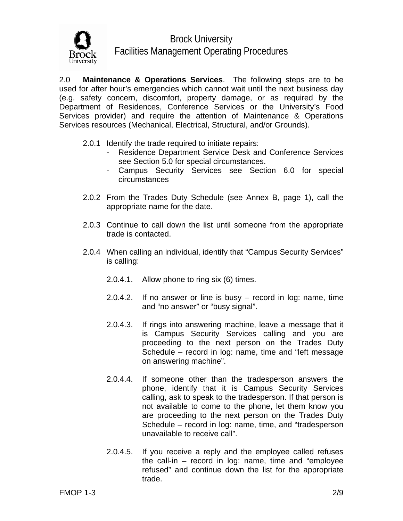

2.0 **Maintenance & Operations Services**. The following steps are to be used for after hour's emergencies which cannot wait until the next business day (e.g. safety concern, discomfort, property damage, or as required by the Department of Residences, Conference Services or the University's Food Services provider) and require the attention of Maintenance & Operations Services resources (Mechanical, Electrical, Structural, and/or Grounds).

- 2.0.1 Identify the trade required to initiate repairs:
	- Residence Department Service Desk and Conference Services see Section 5.0 for special circumstances.
	- Campus Security Services see Section 6.0 for special circumstances
- 2.0.2 From the Trades Duty Schedule (see Annex B, page 1), call the appropriate name for the date.
- 2.0.3 Continue to call down the list until someone from the appropriate trade is contacted.
- 2.0.4 When calling an individual, identify that "Campus Security Services" is calling:
	- 2.0.4.1. Allow phone to ring six (6) times.
	- 2.0.4.2. If no answer or line is busy record in log: name, time and "no answer" or "busy signal".
	- 2.0.4.3. If rings into answering machine, leave a message that it is Campus Security Services calling and you are proceeding to the next person on the Trades Duty Schedule – record in log: name, time and "left message on answering machine".
	- 2.0.4.4. If someone other than the tradesperson answers the phone, identify that it is Campus Security Services calling, ask to speak to the tradesperson. If that person is not available to come to the phone, let them know you are proceeding to the next person on the Trades Duty Schedule – record in log: name, time, and "tradesperson unavailable to receive call".
	- 2.0.4.5. If you receive a reply and the employee called refuses the call-in – record in log: name, time and "employee refused" and continue down the list for the appropriate trade.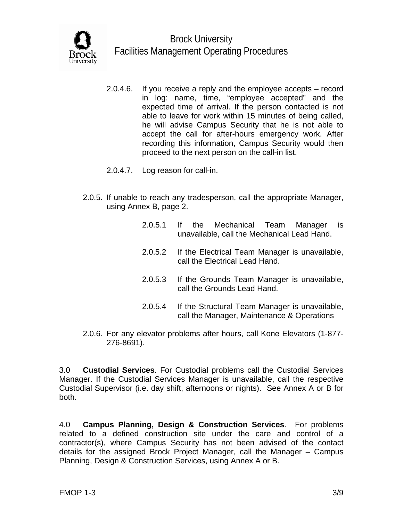

- 2.0.4.6. If you receive a reply and the employee accepts record in log: name, time, "employee accepted" and the expected time of arrival. If the person contacted is not able to leave for work within 15 minutes of being called, he will advise Campus Security that he is not able to accept the call for after-hours emergency work. After recording this information, Campus Security would then proceed to the next person on the call-in list.
- 2.0.4.7. Log reason for call-in.
- 2.0.5. If unable to reach any tradesperson, call the appropriate Manager, using Annex B, page 2.
	- 2.0.5.1 If the Mechanical Team Manager is unavailable, call the Mechanical Lead Hand.
	- 2.0.5.2 If the Electrical Team Manager is unavailable, call the Electrical Lead Hand.
	- 2.0.5.3 If the Grounds Team Manager is unavailable, call the Grounds Lead Hand.
	- 2.0.5.4 If the Structural Team Manager is unavailable, call the Manager, Maintenance & Operations
- 2.0.6. For any elevator problems after hours, call Kone Elevators (1-877- 276-8691).

3.0 **Custodial Services**. For Custodial problems call the Custodial Services Manager. If the Custodial Services Manager is unavailable, call the respective Custodial Supervisor (i.e. day shift, afternoons or nights). See Annex A or B for both.

4.0 **Campus Planning, Design & Construction Services**. For problems related to a defined construction site under the care and control of a contractor(s), where Campus Security has not been advised of the contact details for the assigned Brock Project Manager, call the Manager – Campus Planning, Design & Construction Services, using Annex A or B.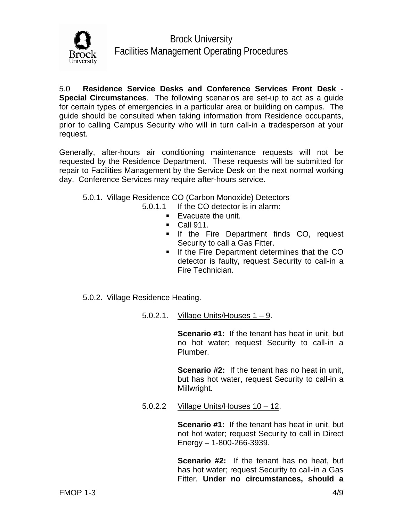

5.0 **Residence Service Desks and Conference Services Front Desk** - **Special Circumstances**. The following scenarios are set-up to act as a guide for certain types of emergencies in a particular area or building on campus. The guide should be consulted when taking information from Residence occupants, prior to calling Campus Security who will in turn call-in a tradesperson at your request.

Generally, after-hours air conditioning maintenance requests will not be requested by the Residence Department. These requests will be submitted for repair to Facilities Management by the Service Desk on the next normal working day. Conference Services may require after-hours service.

- 5.0.1. Village Residence CO (Carbon Monoxide) Detectors
	- 5.0.1.1 If the CO detector is in alarm:
		- $\blacksquare$  Evacuate the unit.
		- **Call 911.**
		- **If the Fire Department finds CO, request** Security to call a Gas Fitter.
		- **If the Fire Department determines that the CO** detector is faulty, request Security to call-in a Fire Technician.
- 5.0.2. Village Residence Heating.
	- 5.0.2.1. Village Units/Houses  $1 9$ .

**Scenario #1:** If the tenant has heat in unit, but no hot water; request Security to call-in a Plumber.

 **Scenario #2:** If the tenant has no heat in unit, but has hot water, request Security to call-in a Millwright.

5.0.2.2 Village Units/Houses 10 – 12.

**Scenario #1:** If the tenant has heat in unit, but not hot water; request Security to call in Direct Energy – 1-800-266-3939.

**Scenario #2:** If the tenant has no heat, but has hot water; request Security to call-in a Gas Fitter. **Under no circumstances, should a**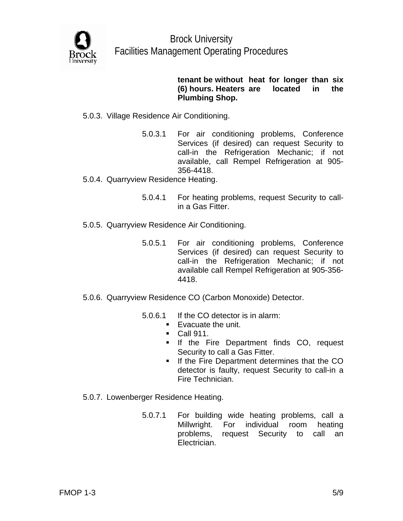

## **tenant be without heat for longer than six (6) hours. Heaters are located in the Plumbing Shop.**

# 5.0.3. Village Residence Air Conditioning.

- 5.0.3.1 For air conditioning problems, Conference Services (if desired) can request Security to call-in the Refrigeration Mechanic; if not available, call Rempel Refrigeration at 905- 356-4418.
- 5.0.4. Quarryview Residence Heating.
	- 5.0.4.1 For heating problems, request Security to callin a Gas Fitter.
- 5.0.5. Quarryview Residence Air Conditioning.
	- 5.0.5.1 For air conditioning problems, Conference Services (if desired) can request Security to call-in the Refrigeration Mechanic; if not available call Rempel Refrigeration at 905-356- 4418.
- 5.0.6. Quarryview Residence CO (Carbon Monoxide) Detector.
	- 5.0.6.1 If the CO detector is in alarm:
		- Evacuate the unit.
		- **Call 911.**
		- **If the Fire Department finds CO, request** Security to call a Gas Fitter.
		- **If the Fire Department determines that the CO** detector is faulty, request Security to call-in a Fire Technician.
- 5.0.7. Lowenberger Residence Heating.
	- 5.0.7.1 For building wide heating problems, call a Millwright. For individual room heating problems, request Security to call an Electrician.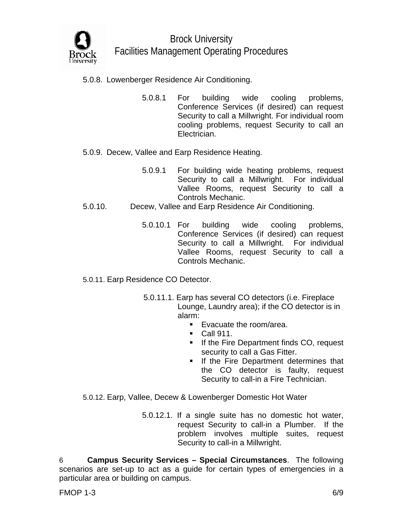

# 5.0.8. Lowenberger Residence Air Conditioning.

- 5.0.8.1 For building wide cooling problems, Conference Services (if desired) can request Security to call a Millwright. For individual room cooling problems, request Security to call an Electrician.
- 5.0.9. Decew, Vallee and Earp Residence Heating.
	- 5.0.9.1 For building wide heating problems, request Security to call a Millwright. For individual Vallee Rooms, request Security to call a Controls Mechanic.
- 5.0.10. Decew, Vallee and Earp Residence Air Conditioning.
	- 5.0.10.1 For building wide cooling problems, Conference Services (if desired) can request Security to call a Millwright. For individual Vallee Rooms, request Security to call a Controls Mechanic.
- 5.0.11. Earp Residence CO Detector.
	- 5.0.11.1. Earp has several CO detectors (i.e. Fireplace Lounge, Laundry area); if the CO detector is in alarm:
		- Evacuate the room/area.
		- **Call 911.**
		- **If the Fire Department finds CO, request** security to call a Gas Fitter.
		- **If the Fire Department determines that** the CO detector is faulty, request Security to call-in a Fire Technician.
- 5.0.12. Earp, Vallee, Decew & Lowenberger Domestic Hot Water
	- 5.0.12.1. If a single suite has no domestic hot water, request Security to call-in a Plumber. If the problem involves multiple suites, request Security to call-in a Millwright.

6 **Campus Security Services – Special Circumstances**. The following scenarios are set-up to act as a guide for certain types of emergencies in a particular area or building on campus.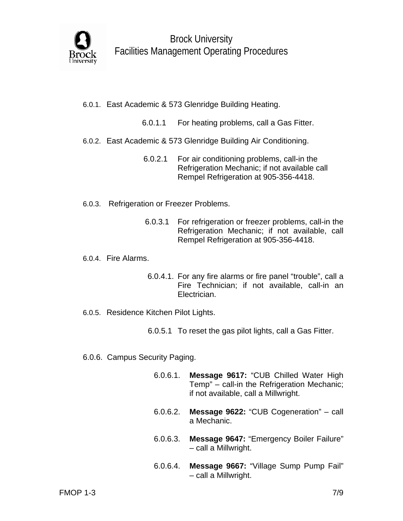

- 6.0.1. East Academic & 573 Glenridge Building Heating.
	- 6.0.1.1 For heating problems, call a Gas Fitter.
- 6.0.2. East Academic & 573 Glenridge Building Air Conditioning.
	- 6.0.2.1 For air conditioning problems, call-in the Refrigeration Mechanic; if not available call Rempel Refrigeration at 905-356-4418.
- 6.0.3. Refrigeration or Freezer Problems.
	- 6.0.3.1 For refrigeration or freezer problems, call-in the Refrigeration Mechanic; if not available, call Rempel Refrigeration at 905-356-4418.
- 6.0.4. Fire Alarms.
	- 6.0.4.1. For any fire alarms or fire panel "trouble", call a Fire Technician; if not available, call-in an Electrician.
- 6.0.5. Residence Kitchen Pilot Lights.
	- 6.0.5.1 To reset the gas pilot lights, call a Gas Fitter.
- 6.0.6. Campus Security Paging.
	- 6.0.6.1. **Message 9617:** "CUB Chilled Water High Temp" – call-in the Refrigeration Mechanic; if not available, call a Millwright.
	- 6.0.6.2. **Message 9622:** "CUB Cogeneration" call a Mechanic.
	- 6.0.6.3. **Message 9647:** "Emergency Boiler Failure" – call a Millwright.
	- 6.0.6.4. **Message 9667:** "Village Sump Pump Fail" – call a Millwright.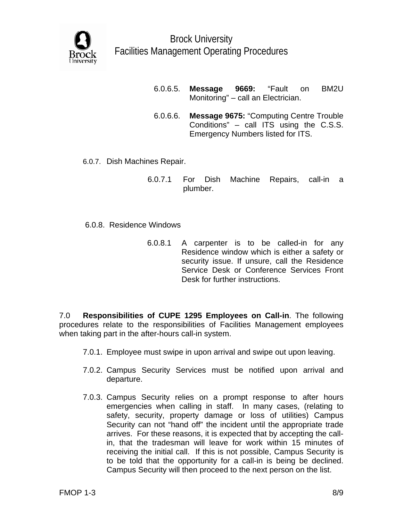

- 6.0.6.5. **Message 9669:** "Fault on BM2U Monitoring" – call an Electrician.
- 6.0.6.6. **Message 9675:** "Computing Centre Trouble Conditions" – call ITS using the C.S.S. Emergency Numbers listed for ITS.
- 6.0.7. Dish Machines Repair.
	- 6.0.7.1 For Dish Machine Repairs, call-in a plumber.
- 6.0.8. Residence Windows
	- 6.0.8.1 A carpenter is to be called-in for any Residence window which is either a safety or security issue. If unsure, call the Residence Service Desk or Conference Services Front Desk for further instructions.

7.0 **Responsibilities of CUPE 1295 Employees on Call-in**. The following procedures relate to the responsibilities of Facilities Management employees when taking part in the after-hours call-in system.

- 7.0.1. Employee must swipe in upon arrival and swipe out upon leaving.
- 7.0.2. Campus Security Services must be notified upon arrival and departure.
- 7.0.3. Campus Security relies on a prompt response to after hours emergencies when calling in staff. In many cases, (relating to safety, security, property damage or loss of utilities) Campus Security can not "hand off" the incident until the appropriate trade arrives. For these reasons, it is expected that by accepting the callin, that the tradesman will leave for work within 15 minutes of receiving the initial call. If this is not possible, Campus Security is to be told that the opportunity for a call-in is being be declined. Campus Security will then proceed to the next person on the list.